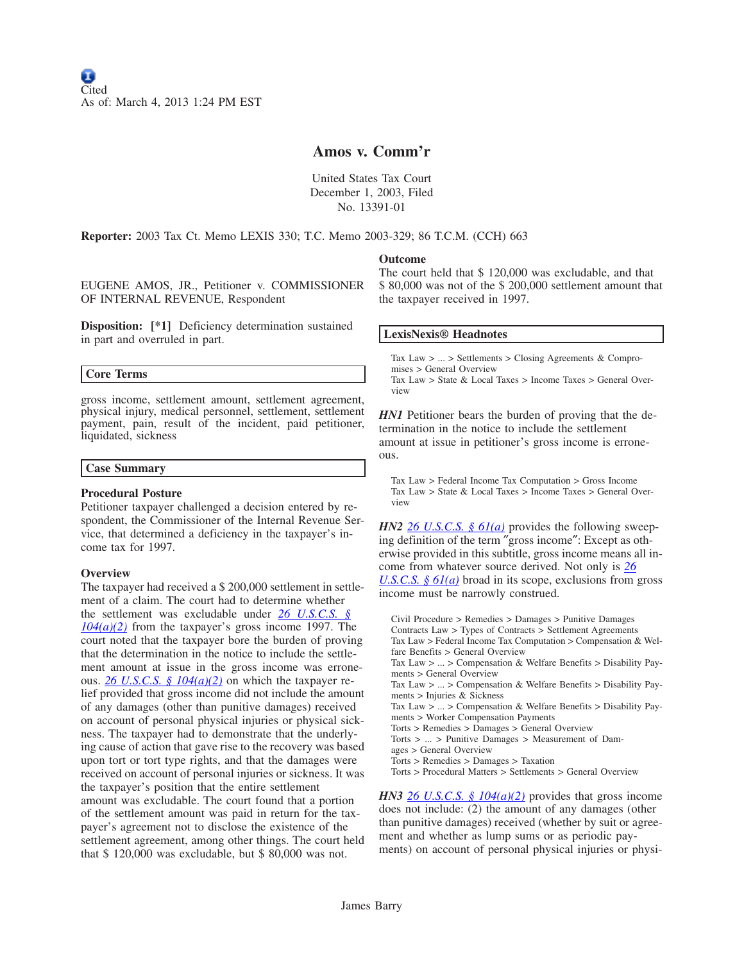# **Amos v. Comm'r**

United States Tax Court December 1, 2003, Filed No. 13391-01

**Reporter:** 2003 Tax Ct. Memo LEXIS 330; T.C. Memo 2003-329; 86 T.C.M. (CCH) 663

**Outcome**

EUGENE AMOS, JR., Petitioner v. COMMISSIONER OF INTERNAL REVENUE, Respondent

**Disposition:** [\*1] Deficiency determination sustained in part and overruled in part.

# **Core Terms**

gross income, settlement amount, settlement agreement, physical injury, medical personnel, settlement, settlement payment, pain, result of the incident, paid petitioner, liquidated, sickness

# **Case Summary**

# **Procedural Posture**

Petitioner taxpayer challenged a decision entered by respondent, the Commissioner of the Internal Revenue Service, that determined a deficiency in the taxpayer's income tax for 1997.

#### **Overview**

The taxpayer had received a \$ 200,000 settlement in settlement of a claim. The court had to determine whether the settlement was excludable under *26 U.S.C.S. § 104(a)(2)* from the taxpayer's gross income 1997. The court noted that the taxpayer bore the burden of proving that the determination in the notice to include the settlement amount at issue in the gross income was erroneous. *26 U.S.C.S. § 104(a)(2)* on which the taxpayer relief provided that gross income did not include the amount of any damages (other than punitive damages) received on account of personal physical injuries or physical sickness. The taxpayer had to demonstrate that the underlying cause of action that gave rise to the recovery was based upon tort or tort type rights, and that the damages were received on account of personal injuries or sickness. It was the taxpayer's position that the entire settlement amount was excludable. The court found that a portion of the settlement amount was paid in return for the taxpayer's agreement not to disclose the existence of the settlement agreement, among other things. The court held that \$ 120,000 was excludable, but \$ 80,000 was not.

The court held that \$ 120,000 was excludable, and that \$ 80,000 was not of the \$ 200,000 settlement amount that the taxpayer received in 1997.

**LexisNexis® Headnotes**

Tax Law > ... > Settlements > Closing Agreements & Compromises > General Overview Tax Law > State & Local Taxes > Income Taxes > General Overview

*HN1* Petitioner bears the burden of proving that the determination in the notice to include the settlement amount at issue in petitioner's gross income is erroneous.

Tax Law > Federal Income Tax Computation > Gross Income Tax Law > State & Local Taxes > Income Taxes > General Overview

*HN2* 26 *U.S.C.S.* § 61(*a*) provides the following sweeping definition of the term ″gross income″: Except as otherwise provided in this subtitle, gross income means all income from whatever source derived. Not only is *26 U.S.C.S. § 61(a)* broad in its scope, exclusions from gross income must be narrowly construed.

Civil Procedure > Remedies > Damages > Punitive Damages Contracts Law > Types of Contracts > Settlement Agreements Tax Law > Federal Income Tax Computation > Compensation & Welfare Benefits > General Overview Tax Law > ... > Compensation & Welfare Benefits > Disability Payments > General Overview Tax Law > ... > Compensation & Welfare Benefits > Disability Payments > Injuries & Sickness Tax Law > ... > Compensation & Welfare Benefits > Disability Payments > Worker Compensation Payments Torts > Remedies > Damages > General Overview Torts > ... > Punitive Damages > Measurement of Damages > General Overview Torts > Remedies > Damages > Taxation Torts > Procedural Matters > Settlements > General Overview

*HN3* 26 *U.S.C.S.* § 104(*a*)(2) provides that gross income does not include: (2) the amount of any damages (other than punitive damages) received (whether by suit or agreement and whether as lump sums or as periodic payments) on account of personal physical injuries or physi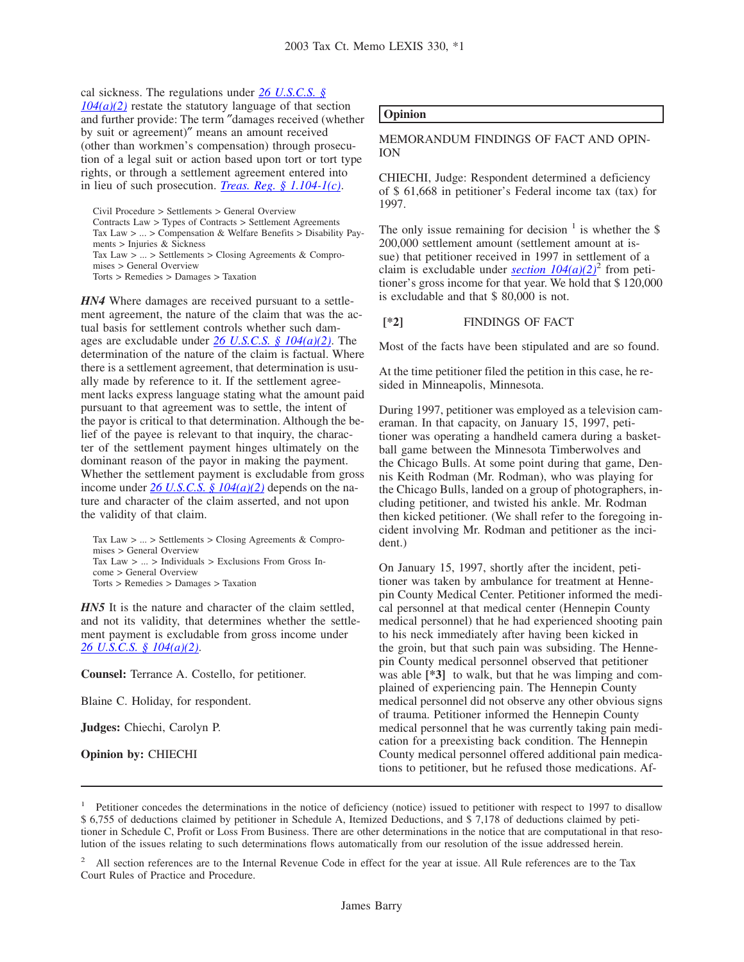cal sickness. The regulations under *26 U.S.C.S. § 104(a)(2)* restate the statutory language of that section and further provide: The term ″damages received (whether by suit or agreement)″ means an amount received (other than workmen's compensation) through prosecution of a legal suit or action based upon tort or tort type rights, or through a settlement agreement entered into in lieu of such prosecution. *Treas. Reg. § 1.104-1(c)*.

Civil Procedure > Settlements > General Overview

Contracts Law > Types of Contracts > Settlement Agreements

Tax Law > ... > Compensation & Welfare Benefits > Disability Payments > Injuries & Sickness

Tax Law > ... > Settlements > Closing Agreements & Compro-

mises > General Overview

Torts > Remedies > Damages > Taxation

*HN4* Where damages are received pursuant to a settlement agreement, the nature of the claim that was the actual basis for settlement controls whether such damages are excludable under *26 U.S.C.S. § 104(a)(2)*. The determination of the nature of the claim is factual. Where there is a settlement agreement, that determination is usually made by reference to it. If the settlement agreement lacks express language stating what the amount paid pursuant to that agreement was to settle, the intent of the payor is critical to that determination. Although the belief of the payee is relevant to that inquiry, the character of the settlement payment hinges ultimately on the dominant reason of the payor in making the payment. Whether the settlement payment is excludable from gross income under *26 U.S.C.S. § 104(a)(2)* depends on the nature and character of the claim asserted, and not upon the validity of that claim.

Tax Law > ... > Settlements > Closing Agreements & Compromises > General Overview Tax Law > ... > Individuals > Exclusions From Gross Income > General Overview Torts > Remedies > Damages > Taxation

*HN5* It is the nature and character of the claim settled, and not its validity, that determines whether the settlement payment is excludable from gross income under *26 U.S.C.S. § 104(a)(2)*.

**Counsel:** Terrance A. Costello, for petitioner.

Blaine C. Holiday, for respondent.

**Judges:** Chiechi, Carolyn P.

**Opinion by:** CHIECHI

# **Opinion**

# MEMORANDUM FINDINGS OF FACT AND OPIN-ION

CHIECHI, Judge: Respondent determined a deficiency of \$ 61,668 in petitioner's Federal income tax (tax) for 1997.

The only issue remaining for decision  $<sup>1</sup>$  is whether the \$</sup> 200,000 settlement amount (settlement amount at issue) that petitioner received in 1997 in settlement of a claim is excludable under *section*  $104(a)(2)^2$  from petitioner's gross income for that year. We hold that \$ 120,000 is excludable and that \$ 80,000 is not.

# **[\*2]** FINDINGS OF FACT

Most of the facts have been stipulated and are so found.

At the time petitioner filed the petition in this case, he resided in Minneapolis, Minnesota.

During 1997, petitioner was employed as a television cameraman. In that capacity, on January 15, 1997, petitioner was operating a handheld camera during a basketball game between the Minnesota Timberwolves and the Chicago Bulls. At some point during that game, Dennis Keith Rodman (Mr. Rodman), who was playing for the Chicago Bulls, landed on a group of photographers, including petitioner, and twisted his ankle. Mr. Rodman then kicked petitioner. (We shall refer to the foregoing incident involving Mr. Rodman and petitioner as the incident.)

On January 15, 1997, shortly after the incident, petitioner was taken by ambulance for treatment at Hennepin County Medical Center. Petitioner informed the medical personnel at that medical center (Hennepin County medical personnel) that he had experienced shooting pain to his neck immediately after having been kicked in the groin, but that such pain was subsiding. The Hennepin County medical personnel observed that petitioner was able **[\*3]** to walk, but that he was limping and complained of experiencing pain. The Hennepin County medical personnel did not observe any other obvious signs of trauma. Petitioner informed the Hennepin County medical personnel that he was currently taking pain medication for a preexisting back condition. The Hennepin County medical personnel offered additional pain medications to petitioner, but he refused those medications. Af-

<sup>&</sup>lt;sup>1</sup> Petitioner concedes the determinations in the notice of deficiency (notice) issued to petitioner with respect to 1997 to disallow \$ 6,755 of deductions claimed by petitioner in Schedule A, Itemized Deductions, and \$ 7,178 of deductions claimed by petitioner in Schedule C, Profit or Loss From Business. There are other determinations in the notice that are computational in that resolution of the issues relating to such determinations flows automatically from our resolution of the issue addressed herein.

<sup>2</sup> All section references are to the Internal Revenue Code in effect for the year at issue. All Rule references are to the Tax Court Rules of Practice and Procedure.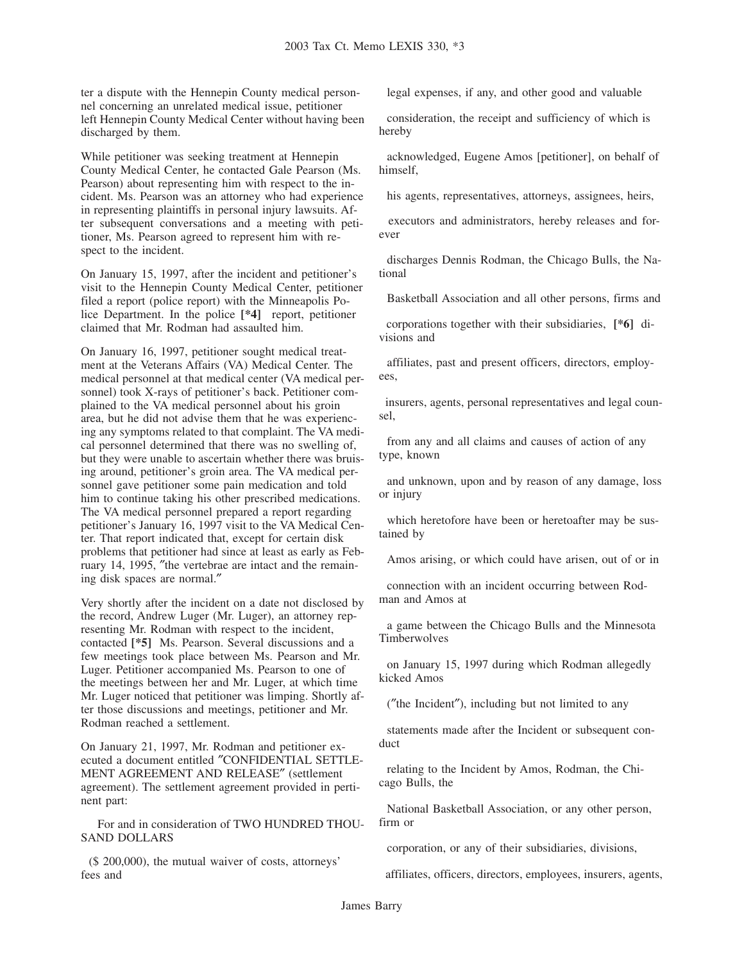ter a dispute with the Hennepin County medical personnel concerning an unrelated medical issue, petitioner left Hennepin County Medical Center without having been discharged by them.

While petitioner was seeking treatment at Hennepin County Medical Center, he contacted Gale Pearson (Ms. Pearson) about representing him with respect to the incident. Ms. Pearson was an attorney who had experience in representing plaintiffs in personal injury lawsuits. After subsequent conversations and a meeting with petitioner, Ms. Pearson agreed to represent him with respect to the incident.

On January 15, 1997, after the incident and petitioner's visit to the Hennepin County Medical Center, petitioner filed a report (police report) with the Minneapolis Police Department. In the police **[\*4]** report, petitioner claimed that Mr. Rodman had assaulted him.

On January 16, 1997, petitioner sought medical treatment at the Veterans Affairs (VA) Medical Center. The medical personnel at that medical center (VA medical personnel) took X-rays of petitioner's back. Petitioner complained to the VA medical personnel about his groin area, but he did not advise them that he was experiencing any symptoms related to that complaint. The VA medical personnel determined that there was no swelling of, but they were unable to ascertain whether there was bruising around, petitioner's groin area. The VA medical personnel gave petitioner some pain medication and told him to continue taking his other prescribed medications. The VA medical personnel prepared a report regarding petitioner's January 16, 1997 visit to the VA Medical Center. That report indicated that, except for certain disk problems that petitioner had since at least as early as February 14, 1995, ″the vertebrae are intact and the remaining disk spaces are normal.″

Very shortly after the incident on a date not disclosed by the record, Andrew Luger (Mr. Luger), an attorney representing Mr. Rodman with respect to the incident, contacted **[\*5]** Ms. Pearson. Several discussions and a few meetings took place between Ms. Pearson and Mr. Luger. Petitioner accompanied Ms. Pearson to one of the meetings between her and Mr. Luger, at which time Mr. Luger noticed that petitioner was limping. Shortly after those discussions and meetings, petitioner and Mr. Rodman reached a settlement.

On January 21, 1997, Mr. Rodman and petitioner executed a document entitled ″CONFIDENTIAL SETTLE-MENT AGREEMENT AND RELEASE″ (settlement agreement). The settlement agreement provided in pertinent part:

For and in consideration of TWO HUNDRED THOU-SAND DOLLARS

(\$ 200,000), the mutual waiver of costs, attorneys' fees and

legal expenses, if any, and other good and valuable

consideration, the receipt and sufficiency of which is hereby

acknowledged, Eugene Amos [petitioner], on behalf of himself,

his agents, representatives, attorneys, assignees, heirs,

executors and administrators, hereby releases and forever

discharges Dennis Rodman, the Chicago Bulls, the National

Basketball Association and all other persons, firms and

corporations together with their subsidiaries, **[\*6]** divisions and

affiliates, past and present officers, directors, employees,

insurers, agents, personal representatives and legal counsel,

from any and all claims and causes of action of any type, known

and unknown, upon and by reason of any damage, loss or injury

which heretofore have been or heretoafter may be sustained by

Amos arising, or which could have arisen, out of or in

connection with an incident occurring between Rodman and Amos at

a game between the Chicago Bulls and the Minnesota **Timberwolves** 

on January 15, 1997 during which Rodman allegedly kicked Amos

(″the Incident″), including but not limited to any

statements made after the Incident or subsequent conduct

relating to the Incident by Amos, Rodman, the Chicago Bulls, the

National Basketball Association, or any other person, firm or

corporation, or any of their subsidiaries, divisions,

affiliates, officers, directors, employees, insurers, agents,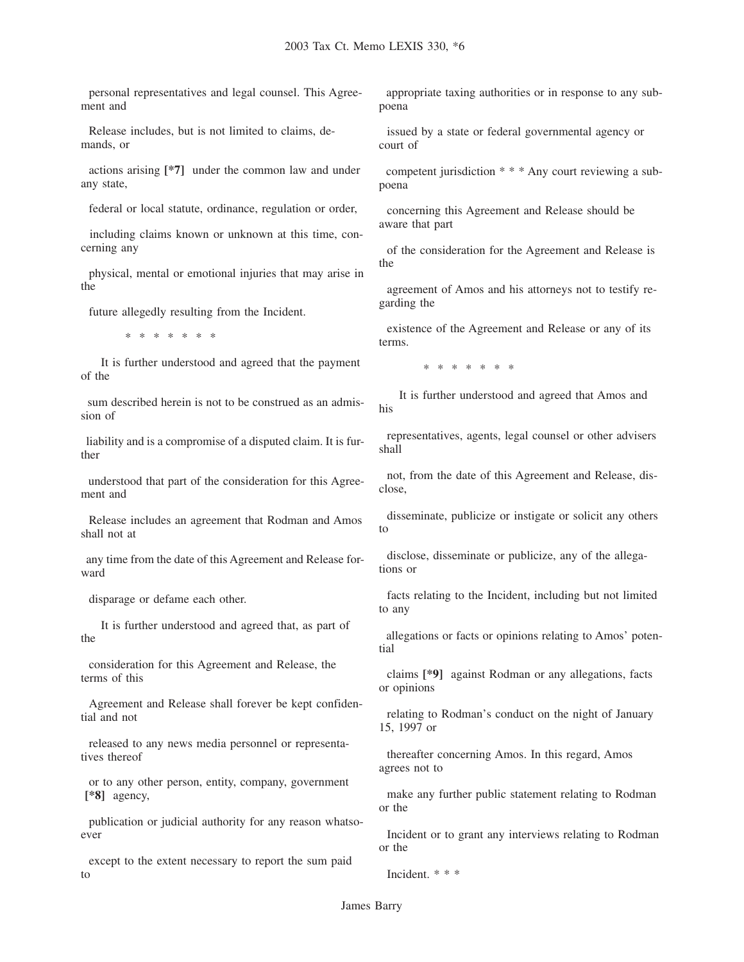personal representatives and legal counsel. This Agreement and

Release includes, but is not limited to claims, demands, or

actions arising **[\*7]** under the common law and under any state,

federal or local statute, ordinance, regulation or order,

including claims known or unknown at this time, concerning any

physical, mental or emotional injuries that may arise in the

future allegedly resulting from the Incident.

\* \* \* \* \* \* \*

It is further understood and agreed that the payment of the

sum described herein is not to be construed as an admission of

liability and is a compromise of a disputed claim. It is further

understood that part of the consideration for this Agreement and

Release includes an agreement that Rodman and Amos shall not at

any time from the date of this Agreement and Release forward

disparage or defame each other.

It is further understood and agreed that, as part of the

consideration for this Agreement and Release, the terms of this

Agreement and Release shall forever be kept confidential and not

released to any news media personnel or representatives thereof

or to any other person, entity, company, government **[\*8]** agency,

publication or judicial authority for any reason whatsoever

except to the extent necessary to report the sum paid to

appropriate taxing authorities or in response to any subpoena

issued by a state or federal governmental agency or court of

competent jurisdiction \* \* \* Any court reviewing a subpoena

concerning this Agreement and Release should be aware that part

of the consideration for the Agreement and Release is the

agreement of Amos and his attorneys not to testify regarding the

existence of the Agreement and Release or any of its terms.

\* \* \* \* \* \* \*

It is further understood and agreed that Amos and his

representatives, agents, legal counsel or other advisers shall

not, from the date of this Agreement and Release, disclose,

disseminate, publicize or instigate or solicit any others to

disclose, disseminate or publicize, any of the allegations or

facts relating to the Incident, including but not limited to any

allegations or facts or opinions relating to Amos' potential

claims **[\*9]** against Rodman or any allegations, facts or opinions

relating to Rodman's conduct on the night of January 15, 1997 or

thereafter concerning Amos. In this regard, Amos agrees not to

make any further public statement relating to Rodman or the

Incident or to grant any interviews relating to Rodman or the

Incident. \* \* \*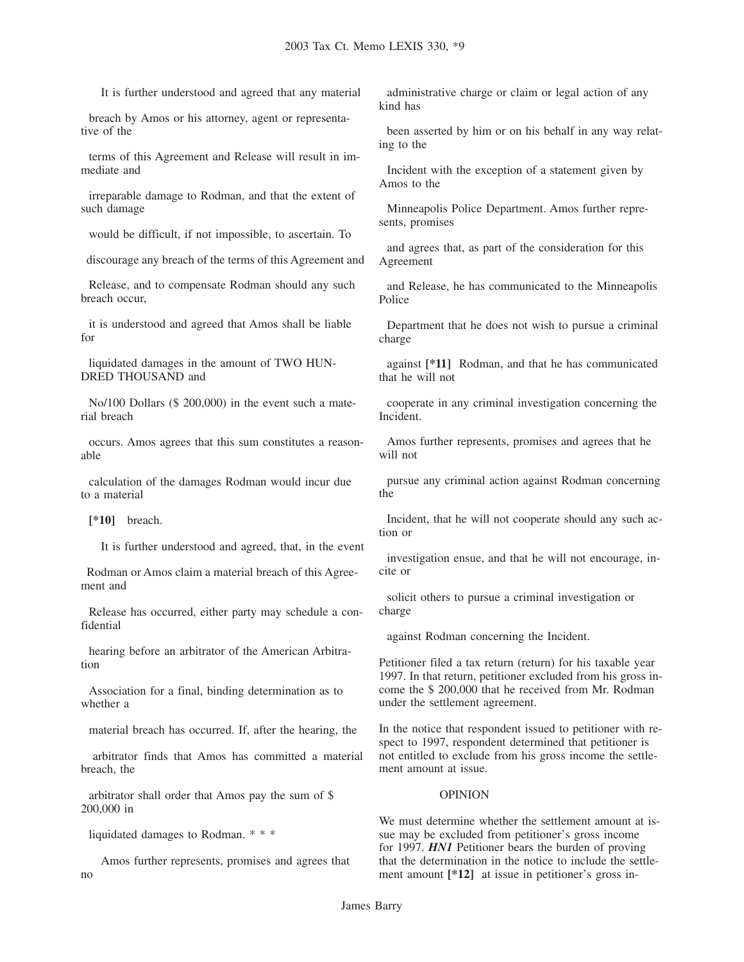It is further understood and agreed that any material

breach by Amos or his attorney, agent or representative of the

terms of this Agreement and Release will result in immediate and

irreparable damage to Rodman, and that the extent of such damage

would be difficult, if not impossible, to ascertain. To

discourage any breach of the terms of this Agreement and

Release, and to compensate Rodman should any such breach occur,

it is understood and agreed that Amos shall be liable for

liquidated damages in the amount of TWO HUN-DRED THOUSAND and

No/100 Dollars (\$ 200,000) in the event such a material breach

occurs. Amos agrees that this sum constitutes a reasonable

calculation of the damages Rodman would incur due to a material

**[\*10]** breach.

It is further understood and agreed, that, in the event

Rodman or Amos claim a material breach of this Agreement and

Release has occurred, either party may schedule a confidential

hearing before an arbitrator of the American Arbitration

Association for a final, binding determination as to whether a

material breach has occurred. If, after the hearing, the

arbitrator finds that Amos has committed a material breach, the

arbitrator shall order that Amos pay the sum of \$ 200,000 in

liquidated damages to Rodman. \* \* \*

Amos further represents, promises and agrees that no

administrative charge or claim or legal action of any kind has

been asserted by him or on his behalf in any way relating to the

Incident with the exception of a statement given by Amos to the

Minneapolis Police Department. Amos further represents, promises

and agrees that, as part of the consideration for this Agreement

and Release, he has communicated to the Minneapolis Police

Department that he does not wish to pursue a criminal charge

against **[\*11]** Rodman, and that he has communicated that he will not

cooperate in any criminal investigation concerning the Incident.

Amos further represents, promises and agrees that he will not

pursue any criminal action against Rodman concerning the

Incident, that he will not cooperate should any such action or

investigation ensue, and that he will not encourage, incite or

solicit others to pursue a criminal investigation or charge

against Rodman concerning the Incident.

Petitioner filed a tax return (return) for his taxable year 1997. In that return, petitioner excluded from his gross income the \$ 200,000 that he received from Mr. Rodman under the settlement agreement.

In the notice that respondent issued to petitioner with respect to 1997, respondent determined that petitioner is not entitled to exclude from his gross income the settlement amount at issue.

## OPINION

We must determine whether the settlement amount at issue may be excluded from petitioner's gross income for 1997. *HN1* Petitioner bears the burden of proving that the determination in the notice to include the settlement amount **[\*12]** at issue in petitioner's gross in-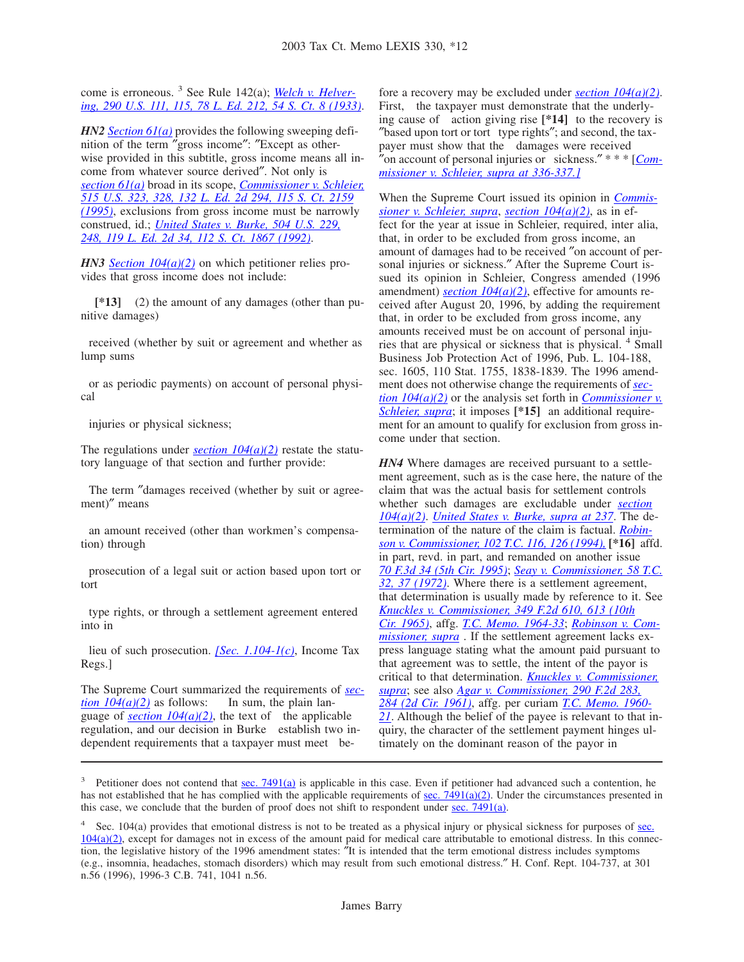come is erroneous. <sup>3</sup> See Rule 142(a); *Welch v. Helvering, 290 U.S. 111, 115, 78 L. Ed. 212, 54 S. Ct. 8 (1933)*.

*HN2 Section 61(a)* provides the following sweeping definition of the term ″gross income″: ″Except as otherwise provided in this subtitle, gross income means all income from whatever source derived″. Not only is *section 61(a)* broad in its scope, *Commissioner v. Schleier, 515 U.S. 323, 328, 132 L. Ed. 2d 294, 115 S. Ct. 2159 (1995)*, exclusions from gross income must be narrowly construed, id.; *United States v. Burke, 504 U.S. 229, 248, 119 L. Ed. 2d 34, 112 S. Ct. 1867 (1992)*.

*HN3 Section 104(a)(2)* on which petitioner relies provides that gross income does not include:

**[\*13]** (2) the amount of any damages (other than punitive damages)

received (whether by suit or agreement and whether as lump sums

or as periodic payments) on account of personal physical

injuries or physical sickness;

The regulations under *section 104(a)(2)* restate the statutory language of that section and further provide:

The term ″damages received (whether by suit or agreement)" means

an amount received (other than workmen's compensation) through

prosecution of a legal suit or action based upon tort or tort

type rights, or through a settlement agreement entered into in

lieu of such prosecution. *[Sec. 1.104-1(c)*, Income Tax Regs.]

The Supreme Court summarized the requirements of *section*  $104(a)(2)$  as follows: In sum, the plain language of  $section 104(a)(2)$ , the text of the applicable regulation, and our decision in Burke establish two independent requirements that a taxpayer must meet before a recovery may be excluded under *section 104(a)(2)*. First, the taxpayer must demonstrate that the underlying cause of action giving rise **[\*14]** to the recovery is ″based upon tort or tort type rights″; and second, the taxpayer must show that the damages were received ″on account of personal injuries or sickness.″ \* \* \* [*Commissioner v. Schleier, supra at 336-337.]*

When the Supreme Court issued its opinion in *Commissioner v. Schleier, supra*, *section 104(a)(2)*, as in effect for the year at issue in Schleier, required, inter alia, that, in order to be excluded from gross income, an amount of damages had to be received ″on account of personal injuries or sickness.″ After the Supreme Court issued its opinion in Schleier, Congress amended (1996 amendment) *section 104(a)(2)*, effective for amounts received after August 20, 1996, by adding the requirement that, in order to be excluded from gross income, any amounts received must be on account of personal injuries that are physical or sickness that is physical. <sup>4</sup> Small Business Job Protection Act of 1996, Pub. L. 104-188, sec. 1605, 110 Stat. 1755, 1838-1839. The 1996 amendment does not otherwise change the requirements of *section 104(a)(2)* or the analysis set forth in *Commissioner v. Schleier, supra*; it imposes **[\*15]** an additional requirement for an amount to qualify for exclusion from gross income under that section.

*HN4* Where damages are received pursuant to a settlement agreement, such as is the case here, the nature of the claim that was the actual basis for settlement controls whether such damages are excludable under *section 104(a)(2)*. *United States v. Burke, supra at 237*. The determination of the nature of the claim is factual. *Robinson v. Commissioner, 102 T.C. 116, 126 (1994),* **[\*16]** affd. in part, revd. in part, and remanded on another issue *70 F.3d 34 (5th Cir. 1995)*; *Seay v. Commissioner, 58 T.C. 32, 37 (1972)*. Where there is a settlement agreement, that determination is usually made by reference to it. See *Knuckles v. Commissioner, 349 F.2d 610, 613 (10th Cir. 1965)*, affg. *T.C. Memo. 1964-33*; *Robinson v. Commissioner, supra*. If the settlement agreement lacks express language stating what the amount paid pursuant to that agreement was to settle, the intent of the payor is critical to that determination. *Knuckles v. Commissioner, supra*; see also *Agar v. Commissioner, 290 F.2d 283, 284 (2d Cir. 1961)*, affg. per curiam *T.C. Memo. 1960- 21*. Although the belief of the payee is relevant to that inquiry, the character of the settlement payment hinges ultimately on the dominant reason of the payor in

<sup>&</sup>lt;sup>3</sup> Petitioner does not contend that sec.  $7491(a)$  is applicable in this case. Even if petitioner had advanced such a contention, he has not established that he has complied with the applicable requirements of sec.  $7491(a)(2)$ . Under the circumstances presented in this case, we conclude that the burden of proof does not shift to respondent under sec. 7491(a).

<sup>&</sup>lt;sup>4</sup> Sec. 104(a) provides that emotional distress is not to be treated as a physical injury or physical sickness for purposes of sec.  $104(a)(2)$ , except for damages not in excess of the amount paid for medical care attributable to emotional distress. In this connection, the legislative history of the 1996 amendment states: ″It is intended that the term emotional distress includes symptoms (e.g., insomnia, headaches, stomach disorders) which may result from such emotional distress.″ H. Conf. Rept. 104-737, at 301 n.56 (1996), 1996-3 C.B. 741, 1041 n.56.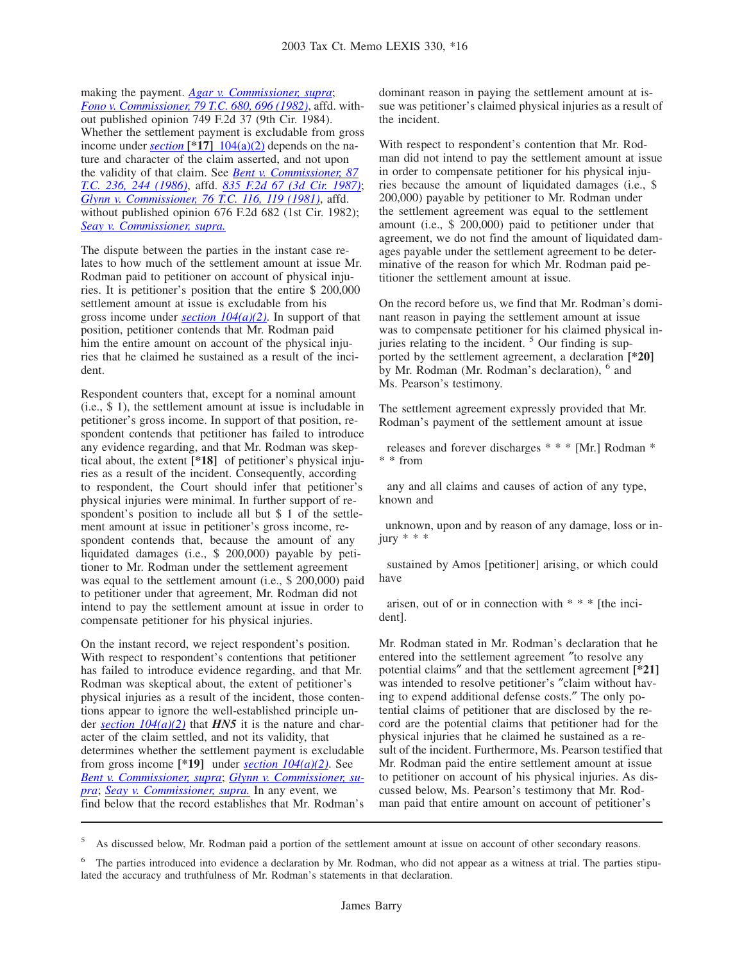making the payment. *Agar v. Commissioner, supra*; *Fono v. Commissioner, 79 T.C. 680, 696 (1982)*, affd. without published opinion 749 F.2d 37 (9th Cir. 1984). Whether the settlement payment is excludable from gross income under *section* **[\*17]** 104(a)(2) depends on the nature and character of the claim asserted, and not upon the validity of that claim. See *Bent v. Commissioner, 87 T.C. 236, 244 (1986)*, affd. *835 F.2d 67 (3d Cir. 1987)*; *Glynn v. Commissioner, 76 T.C. 116, 119 (1981)*, affd. without published opinion 676 F.2d 682 (1st Cir. 1982); *Seay v. Commissioner, supra.*

The dispute between the parties in the instant case relates to how much of the settlement amount at issue Mr. Rodman paid to petitioner on account of physical injuries. It is petitioner's position that the entire \$ 200,000 settlement amount at issue is excludable from his gross income under *section 104(a)(2)*. In support of that position, petitioner contends that Mr. Rodman paid him the entire amount on account of the physical injuries that he claimed he sustained as a result of the incident.

Respondent counters that, except for a nominal amount (i.e., \$ 1), the settlement amount at issue is includable in petitioner's gross income. In support of that position, respondent contends that petitioner has failed to introduce any evidence regarding, and that Mr. Rodman was skeptical about, the extent **[\*18]** of petitioner's physical injuries as a result of the incident. Consequently, according to respondent, the Court should infer that petitioner's physical injuries were minimal. In further support of respondent's position to include all but \$ 1 of the settlement amount at issue in petitioner's gross income, respondent contends that, because the amount of any liquidated damages (i.e., \$ 200,000) payable by petitioner to Mr. Rodman under the settlement agreement was equal to the settlement amount (i.e., \$ 200,000) paid to petitioner under that agreement, Mr. Rodman did not intend to pay the settlement amount at issue in order to compensate petitioner for his physical injuries.

On the instant record, we reject respondent's position. With respect to respondent's contentions that petitioner has failed to introduce evidence regarding, and that Mr. Rodman was skeptical about, the extent of petitioner's physical injuries as a result of the incident, those contentions appear to ignore the well-established principle under *section 104(a)(2)* that *HN5* it is the nature and character of the claim settled, and not its validity, that determines whether the settlement payment is excludable from gross income **[\*19]** under *section 104(a)(2)*. See *Bent v. Commissioner, supra*; *Glynn v. Commissioner, supra*; *Seay v. Commissioner, supra.* In any event, we find below that the record establishes that Mr. Rodman's

dominant reason in paying the settlement amount at issue was petitioner's claimed physical injuries as a result of the incident.

With respect to respondent's contention that Mr. Rodman did not intend to pay the settlement amount at issue in order to compensate petitioner for his physical injuries because the amount of liquidated damages (i.e., \$ 200,000) payable by petitioner to Mr. Rodman under the settlement agreement was equal to the settlement amount (i.e., \$ 200,000) paid to petitioner under that agreement, we do not find the amount of liquidated damages payable under the settlement agreement to be determinative of the reason for which Mr. Rodman paid petitioner the settlement amount at issue.

On the record before us, we find that Mr. Rodman's dominant reason in paying the settlement amount at issue was to compensate petitioner for his claimed physical injuries relating to the incident.  $5$  Our finding is supported by the settlement agreement, a declaration **[\*20]** by Mr. Rodman (Mr. Rodman's declaration), <sup>6</sup> and Ms. Pearson's testimony.

The settlement agreement expressly provided that Mr. Rodman's payment of the settlement amount at issue

releases and forever discharges \* \* \* [Mr.] Rodman \* \* \* from

any and all claims and causes of action of any type, known and

unknown, upon and by reason of any damage, loss or injury  $* * *$ 

sustained by Amos [petitioner] arising, or which could have

arisen, out of or in connection with  $* * *$  [the incident].

Mr. Rodman stated in Mr. Rodman's declaration that he entered into the settlement agreement ″to resolve any potential claims″ and that the settlement agreement **[\*21]** was intended to resolve petitioner's ″claim without having to expend additional defense costs.″ The only potential claims of petitioner that are disclosed by the record are the potential claims that petitioner had for the physical injuries that he claimed he sustained as a result of the incident. Furthermore, Ms. Pearson testified that Mr. Rodman paid the entire settlement amount at issue to petitioner on account of his physical injuries. As discussed below, Ms. Pearson's testimony that Mr. Rodman paid that entire amount on account of petitioner's

<sup>5</sup> As discussed below, Mr. Rodman paid a portion of the settlement amount at issue on account of other secondary reasons.

<sup>6</sup> The parties introduced into evidence a declaration by Mr. Rodman, who did not appear as a witness at trial. The parties stipulated the accuracy and truthfulness of Mr. Rodman's statements in that declaration.